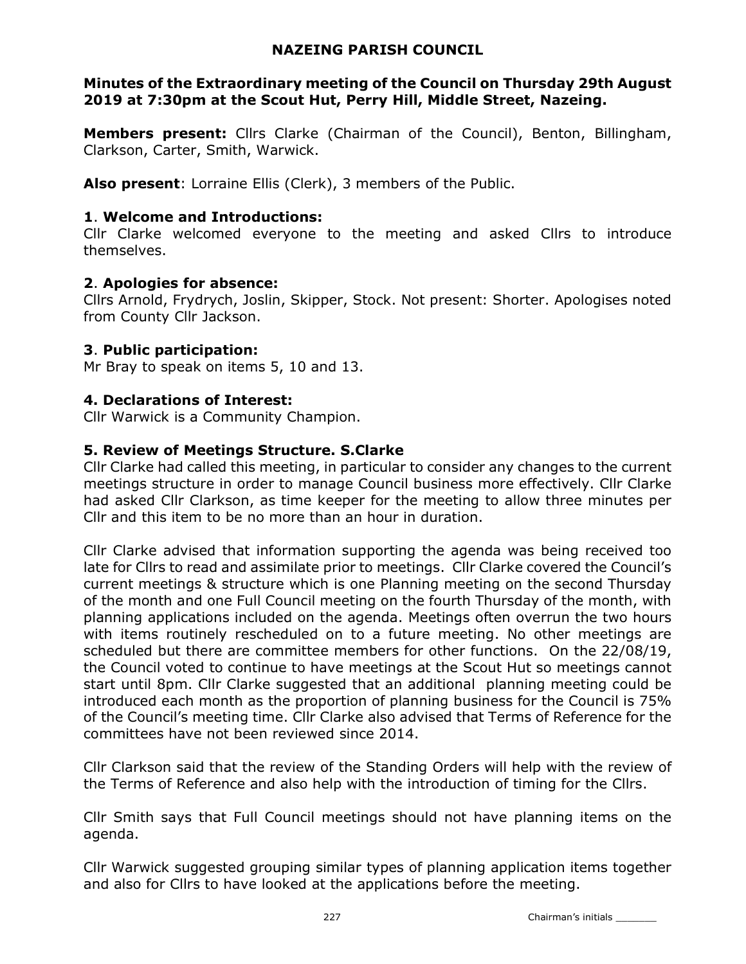### NAZEING PARISH COUNCIL

### Minutes of the Extraordinary meeting of the Council on Thursday 29th August 2019 at 7:30pm at the Scout Hut, Perry Hill, Middle Street, Nazeing.

Members present: Cllrs Clarke (Chairman of the Council), Benton, Billingham, Clarkson, Carter, Smith, Warwick.

Also present: Lorraine Ellis (Clerk), 3 members of the Public.

### 1. Welcome and Introductions:

Cllr Clarke welcomed everyone to the meeting and asked Cllrs to introduce themselves.

# 2. Apologies for absence:

Cllrs Arnold, Frydrych, Joslin, Skipper, Stock. Not present: Shorter. Apologises noted from County Cllr Jackson.

# 3. Public participation:

Mr Bray to speak on items 5, 10 and 13.

# 4. Declarations of Interest:

Cllr Warwick is a Community Champion.

# 5. Review of Meetings Structure. S.Clarke

Cllr Clarke had called this meeting, in particular to consider any changes to the current meetings structure in order to manage Council business more effectively. Cllr Clarke had asked Cllr Clarkson, as time keeper for the meeting to allow three minutes per Cllr and this item to be no more than an hour in duration.

Cllr Clarke advised that information supporting the agenda was being received too late for Cllrs to read and assimilate prior to meetings. Cllr Clarke covered the Council's current meetings & structure which is one Planning meeting on the second Thursday of the month and one Full Council meeting on the fourth Thursday of the month, with planning applications included on the agenda. Meetings often overrun the two hours with items routinely rescheduled on to a future meeting. No other meetings are scheduled but there are committee members for other functions. On the 22/08/19, the Council voted to continue to have meetings at the Scout Hut so meetings cannot start until 8pm. Cllr Clarke suggested that an additional planning meeting could be introduced each month as the proportion of planning business for the Council is 75% of the Council's meeting time. Cllr Clarke also advised that Terms of Reference for the committees have not been reviewed since 2014.

Cllr Clarkson said that the review of the Standing Orders will help with the review of the Terms of Reference and also help with the introduction of timing for the Cllrs.

Cllr Smith says that Full Council meetings should not have planning items on the agenda.

Cllr Warwick suggested grouping similar types of planning application items together and also for Cllrs to have looked at the applications before the meeting.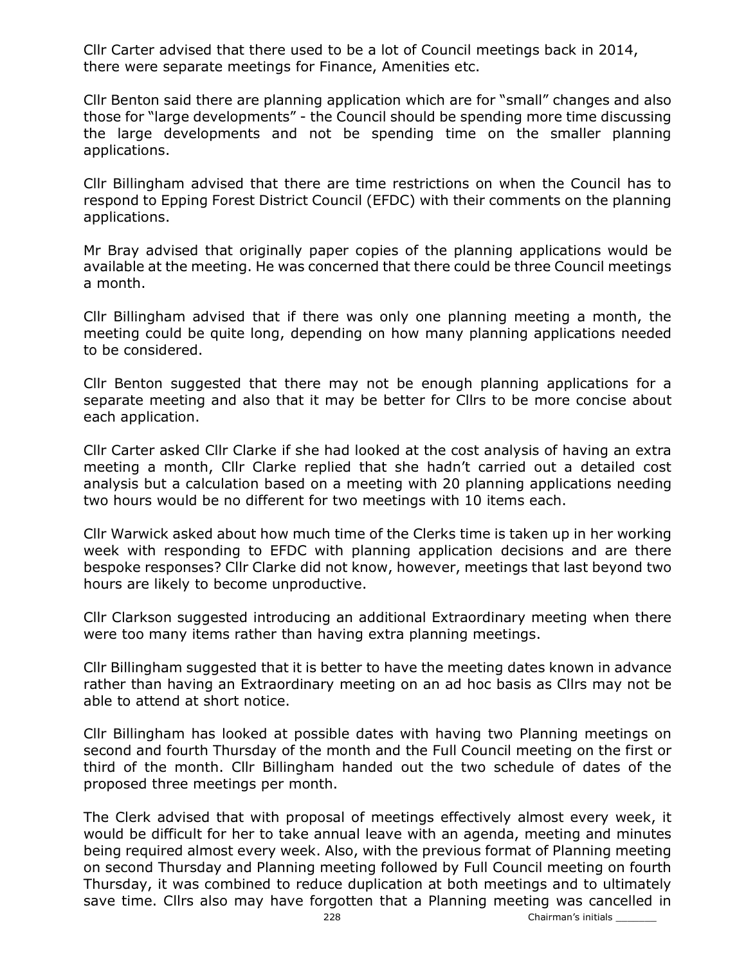Cllr Carter advised that there used to be a lot of Council meetings back in 2014, there were separate meetings for Finance, Amenities etc.

Cllr Benton said there are planning application which are for "small" changes and also those for "large developments" - the Council should be spending more time discussing the large developments and not be spending time on the smaller planning applications.

Cllr Billingham advised that there are time restrictions on when the Council has to respond to Epping Forest District Council (EFDC) with their comments on the planning applications.

Mr Bray advised that originally paper copies of the planning applications would be available at the meeting. He was concerned that there could be three Council meetings a month.

Cllr Billingham advised that if there was only one planning meeting a month, the meeting could be quite long, depending on how many planning applications needed to be considered.

Cllr Benton suggested that there may not be enough planning applications for a separate meeting and also that it may be better for Cllrs to be more concise about each application.

Cllr Carter asked Cllr Clarke if she had looked at the cost analysis of having an extra meeting a month, Cllr Clarke replied that she hadn't carried out a detailed cost analysis but a calculation based on a meeting with 20 planning applications needing two hours would be no different for two meetings with 10 items each.

Cllr Warwick asked about how much time of the Clerks time is taken up in her working week with responding to EFDC with planning application decisions and are there bespoke responses? Cllr Clarke did not know, however, meetings that last beyond two hours are likely to become unproductive.

Cllr Clarkson suggested introducing an additional Extraordinary meeting when there were too many items rather than having extra planning meetings.

Cllr Billingham suggested that it is better to have the meeting dates known in advance rather than having an Extraordinary meeting on an ad hoc basis as Cllrs may not be able to attend at short notice.

Cllr Billingham has looked at possible dates with having two Planning meetings on second and fourth Thursday of the month and the Full Council meeting on the first or third of the month. Cllr Billingham handed out the two schedule of dates of the proposed three meetings per month.

The Clerk advised that with proposal of meetings effectively almost every week, it would be difficult for her to take annual leave with an agenda, meeting and minutes being required almost every week. Also, with the previous format of Planning meeting on second Thursday and Planning meeting followed by Full Council meeting on fourth Thursday, it was combined to reduce duplication at both meetings and to ultimately save time. Cllrs also may have forgotten that a Planning meeting was cancelled in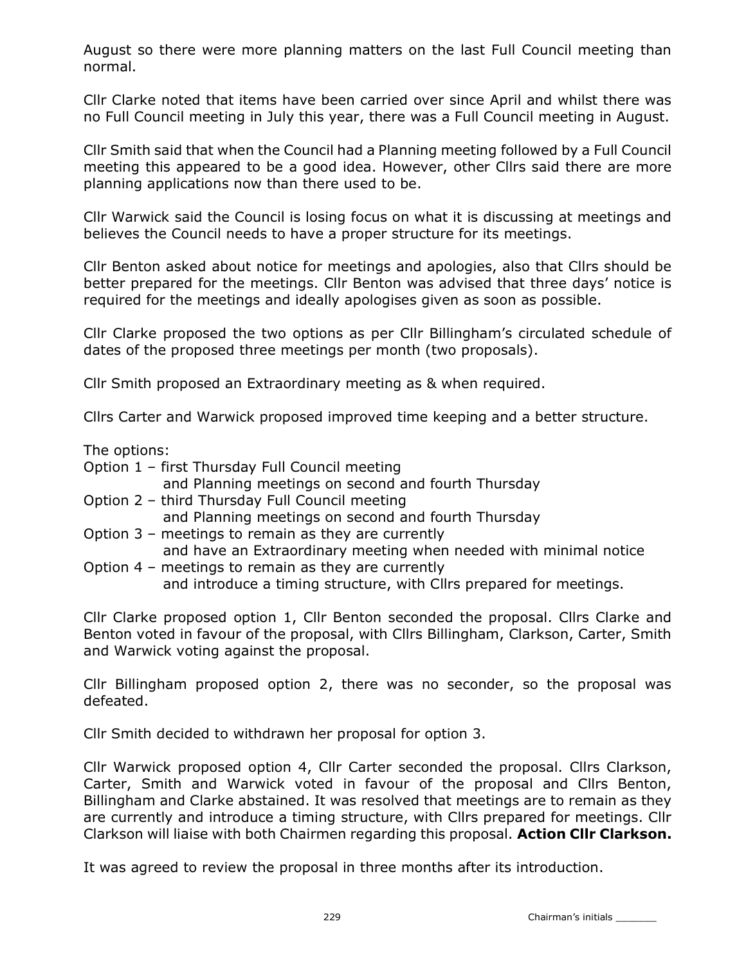August so there were more planning matters on the last Full Council meeting than normal.

Cllr Clarke noted that items have been carried over since April and whilst there was no Full Council meeting in July this year, there was a Full Council meeting in August.

Cllr Smith said that when the Council had a Planning meeting followed by a Full Council meeting this appeared to be a good idea. However, other Cllrs said there are more planning applications now than there used to be.

Cllr Warwick said the Council is losing focus on what it is discussing at meetings and believes the Council needs to have a proper structure for its meetings.

Cllr Benton asked about notice for meetings and apologies, also that Cllrs should be better prepared for the meetings. Cllr Benton was advised that three days' notice is required for the meetings and ideally apologises given as soon as possible.

Cllr Clarke proposed the two options as per Cllr Billingham's circulated schedule of dates of the proposed three meetings per month (two proposals).

Cllr Smith proposed an Extraordinary meeting as & when required.

Cllrs Carter and Warwick proposed improved time keeping and a better structure.

The options:

- Option 1 first Thursday Full Council meeting
	- and Planning meetings on second and fourth Thursday
- Option 2 third Thursday Full Council meeting and Planning meetings on second and fourth Thursday
- Option 3 meetings to remain as they are currently and have an Extraordinary meeting when needed with minimal notice
- Option 4 meetings to remain as they are currently and introduce a timing structure, with Cllrs prepared for meetings.

Cllr Clarke proposed option 1, Cllr Benton seconded the proposal. Cllrs Clarke and Benton voted in favour of the proposal, with Cllrs Billingham, Clarkson, Carter, Smith and Warwick voting against the proposal.

Cllr Billingham proposed option 2, there was no seconder, so the proposal was defeated.

Cllr Smith decided to withdrawn her proposal for option 3.

Cllr Warwick proposed option 4, Cllr Carter seconded the proposal. Cllrs Clarkson, Carter, Smith and Warwick voted in favour of the proposal and Cllrs Benton, Billingham and Clarke abstained. It was resolved that meetings are to remain as they are currently and introduce a timing structure, with Cllrs prepared for meetings. Cllr Clarkson will liaise with both Chairmen regarding this proposal. Action Cllr Clarkson.

It was agreed to review the proposal in three months after its introduction.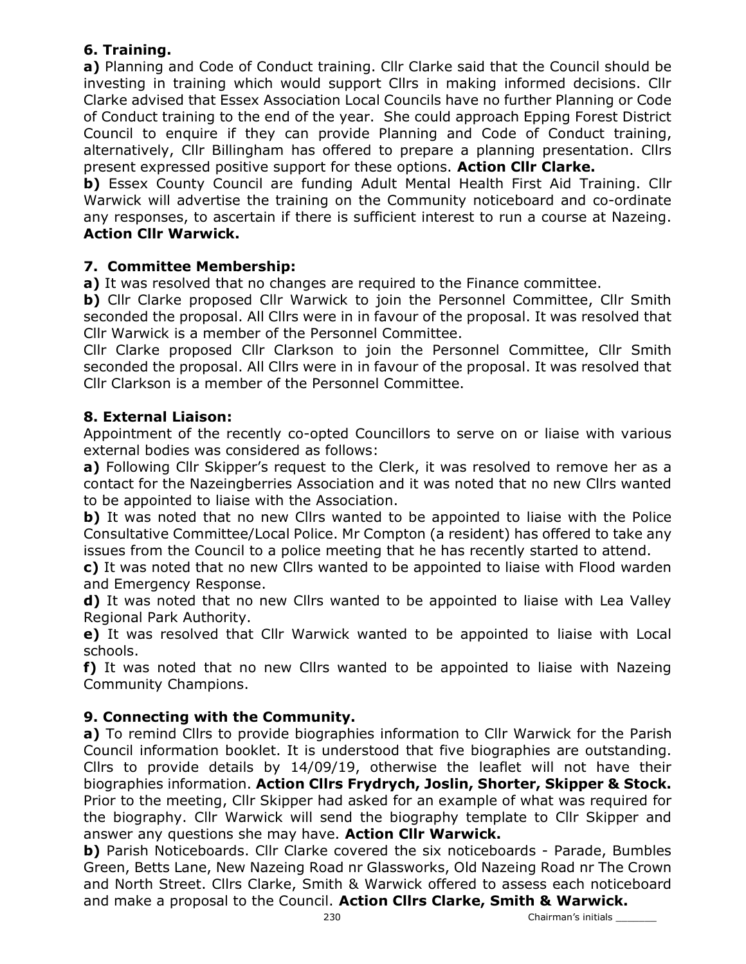# 6. Training.

a) Planning and Code of Conduct training. Cllr Clarke said that the Council should be investing in training which would support Cllrs in making informed decisions. Cllr Clarke advised that Essex Association Local Councils have no further Planning or Code of Conduct training to the end of the year. She could approach Epping Forest District Council to enquire if they can provide Planning and Code of Conduct training, alternatively, Cllr Billingham has offered to prepare a planning presentation. Cllrs present expressed positive support for these options. Action Cllr Clarke.

**b)** Essex County Council are funding Adult Mental Health First Aid Training. Cllr Warwick will advertise the training on the Community noticeboard and co-ordinate any responses, to ascertain if there is sufficient interest to run a course at Nazeing. Action Cllr Warwick.

# 7. Committee Membership:

a) It was resolved that no changes are required to the Finance committee.

b) Cllr Clarke proposed Cllr Warwick to join the Personnel Committee, Cllr Smith seconded the proposal. All Cllrs were in in favour of the proposal. It was resolved that Cllr Warwick is a member of the Personnel Committee.

Cllr Clarke proposed Cllr Clarkson to join the Personnel Committee, Cllr Smith seconded the proposal. All Cllrs were in in favour of the proposal. It was resolved that Cllr Clarkson is a member of the Personnel Committee.

# 8. External Liaison:

Appointment of the recently co-opted Councillors to serve on or liaise with various external bodies was considered as follows:

a) Following Cllr Skipper's request to the Clerk, it was resolved to remove her as a contact for the Nazeingberries Association and it was noted that no new Cllrs wanted to be appointed to liaise with the Association.

b) It was noted that no new Cllrs wanted to be appointed to liaise with the Police Consultative Committee/Local Police. Mr Compton (a resident) has offered to take any issues from the Council to a police meeting that he has recently started to attend.

c) It was noted that no new Cllrs wanted to be appointed to liaise with Flood warden and Emergency Response.

d) It was noted that no new Cllrs wanted to be appointed to liaise with Lea Valley Regional Park Authority.

e) It was resolved that Cllr Warwick wanted to be appointed to liaise with Local schools.

f) It was noted that no new Cllrs wanted to be appointed to liaise with Nazeing Community Champions.

# 9. Connecting with the Community.

a) To remind Cllrs to provide biographies information to Cllr Warwick for the Parish Council information booklet. It is understood that five biographies are outstanding. Cllrs to provide details by 14/09/19, otherwise the leaflet will not have their biographies information. Action Cllrs Frydrych, Joslin, Shorter, Skipper & Stock. Prior to the meeting, Cllr Skipper had asked for an example of what was required for the biography. Cllr Warwick will send the biography template to Cllr Skipper and answer any questions she may have. Action Cllr Warwick.

**b)** Parish Noticeboards. Cllr Clarke covered the six noticeboards - Parade, Bumbles Green, Betts Lane, New Nazeing Road nr Glassworks, Old Nazeing Road nr The Crown and North Street. Cllrs Clarke, Smith & Warwick offered to assess each noticeboard and make a proposal to the Council. Action Cllrs Clarke, Smith & Warwick.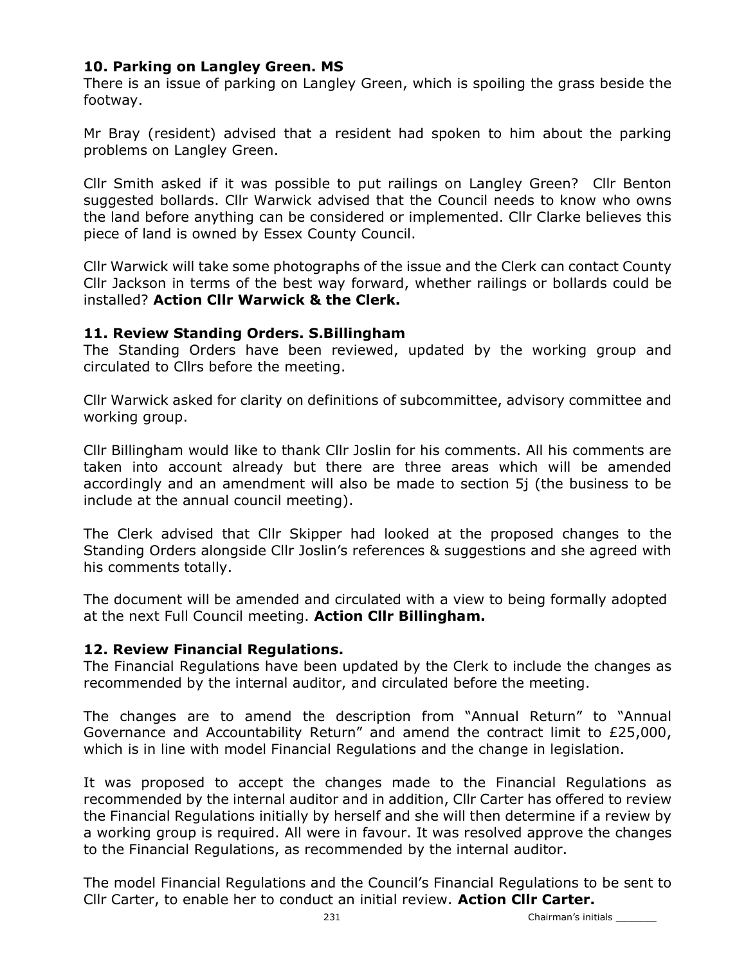# 10. Parking on Langley Green. MS

There is an issue of parking on Langley Green, which is spoiling the grass beside the footway.

Mr Bray (resident) advised that a resident had spoken to him about the parking problems on Langley Green.

Cllr Smith asked if it was possible to put railings on Langley Green? Cllr Benton suggested bollards. Cllr Warwick advised that the Council needs to know who owns the land before anything can be considered or implemented. Cllr Clarke believes this piece of land is owned by Essex County Council.

Cllr Warwick will take some photographs of the issue and the Clerk can contact County Cllr Jackson in terms of the best way forward, whether railings or bollards could be installed? Action Cllr Warwick & the Clerk.

### 11. Review Standing Orders. S.Billingham

The Standing Orders have been reviewed, updated by the working group and circulated to Cllrs before the meeting.

Cllr Warwick asked for clarity on definitions of subcommittee, advisory committee and working group.

Cllr Billingham would like to thank Cllr Joslin for his comments. All his comments are taken into account already but there are three areas which will be amended accordingly and an amendment will also be made to section 5j (the business to be include at the annual council meeting).

The Clerk advised that Cllr Skipper had looked at the proposed changes to the Standing Orders alongside Cllr Joslin's references & suggestions and she agreed with his comments totally.

The document will be amended and circulated with a view to being formally adopted at the next Full Council meeting. Action Cllr Billingham.

### 12. Review Financial Regulations.

The Financial Regulations have been updated by the Clerk to include the changes as recommended by the internal auditor, and circulated before the meeting.

The changes are to amend the description from "Annual Return" to "Annual Governance and Accountability Return" and amend the contract limit to £25,000, which is in line with model Financial Regulations and the change in legislation.

It was proposed to accept the changes made to the Financial Regulations as recommended by the internal auditor and in addition, Cllr Carter has offered to review the Financial Regulations initially by herself and she will then determine if a review by a working group is required. All were in favour. It was resolved approve the changes to the Financial Regulations, as recommended by the internal auditor.

The model Financial Regulations and the Council's Financial Regulations to be sent to Cllr Carter, to enable her to conduct an initial review. Action Cllr Carter.